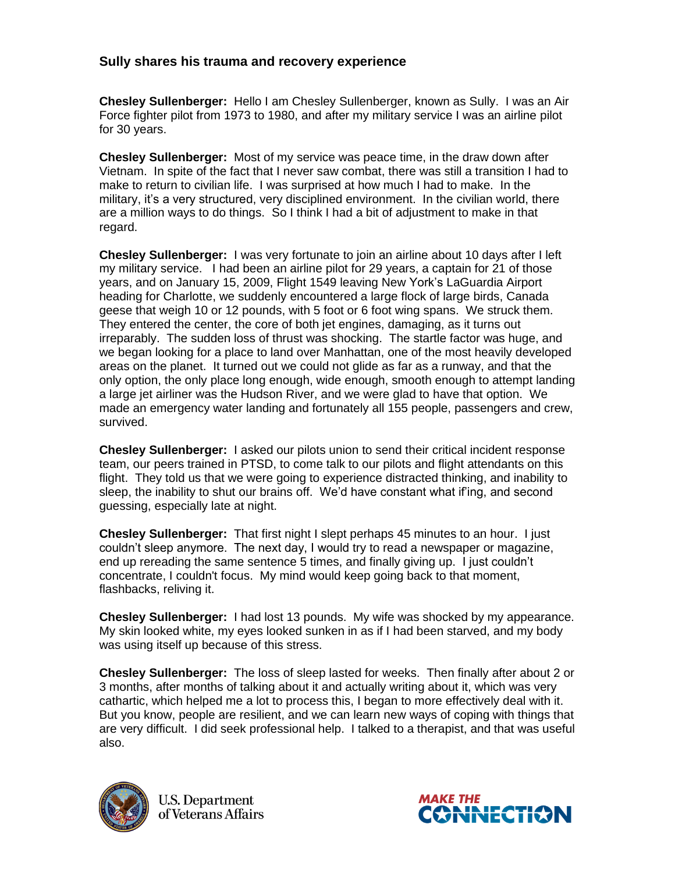## **Sully shares his trauma and recovery experience**

**Chesley Sullenberger:** Hello I am Chesley Sullenberger, known as Sully. I was an Air Force fighter pilot from 1973 to 1980, and after my military service I was an airline pilot for 30 years.

**Chesley Sullenberger:** Most of my service was peace time, in the draw down after Vietnam. In spite of the fact that I never saw combat, there was still a transition I had to make to return to civilian life. I was surprised at how much I had to make. In the military, it's a very structured, very disciplined environment. In the civilian world, there are a million ways to do things. So I think I had a bit of adjustment to make in that regard.

**Chesley Sullenberger:** I was very fortunate to join an airline about 10 days after I left my military service. I had been an airline pilot for 29 years, a captain for 21 of those years, and on January 15, 2009, Flight 1549 leaving New York's LaGuardia Airport heading for Charlotte, we suddenly encountered a large flock of large birds, Canada geese that weigh 10 or 12 pounds, with 5 foot or 6 foot wing spans. We struck them. They entered the center, the core of both jet engines, damaging, as it turns out irreparably. The sudden loss of thrust was shocking. The startle factor was huge, and we began looking for a place to land over Manhattan, one of the most heavily developed areas on the planet. It turned out we could not glide as far as a runway, and that the only option, the only place long enough, wide enough, smooth enough to attempt landing a large jet airliner was the Hudson River, and we were glad to have that option. We made an emergency water landing and fortunately all 155 people, passengers and crew, survived.

**Chesley Sullenberger:** I asked our pilots union to send their critical incident response team, our peers trained in PTSD, to come talk to our pilots and flight attendants on this flight. They told us that we were going to experience distracted thinking, and inability to sleep, the inability to shut our brains off. We'd have constant what if'ing, and second guessing, especially late at night.

**Chesley Sullenberger:** That first night I slept perhaps 45 minutes to an hour. I just couldn't sleep anymore. The next day, I would try to read a newspaper or magazine, end up rereading the same sentence 5 times, and finally giving up. I just couldn't concentrate, I couldn't focus. My mind would keep going back to that moment, flashbacks, reliving it.

**Chesley Sullenberger:** I had lost 13 pounds. My wife was shocked by my appearance. My skin looked white, my eyes looked sunken in as if I had been starved, and my body was using itself up because of this stress.

**Chesley Sullenberger:** The loss of sleep lasted for weeks. Then finally after about 2 or 3 months, after months of talking about it and actually writing about it, which was very cathartic, which helped me a lot to process this, I began to more effectively deal with it. But you know, people are resilient, and we can learn new ways of coping with things that are very difficult. I did seek professional help. I talked to a therapist, and that was useful also.